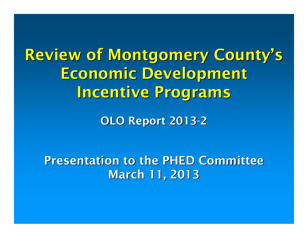Review of Montgomery County's Economic Development Incentive Programs

> OLO Report 2013-2

Presentation to the PHED CommitteeMarch 11, 2013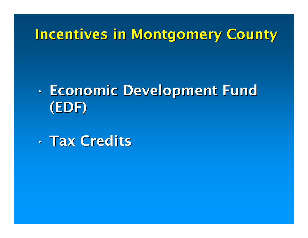## Incentives in Montgomery County

#### •• Economic Development Fund<br>"Ensi (EDF)

•Tax Credits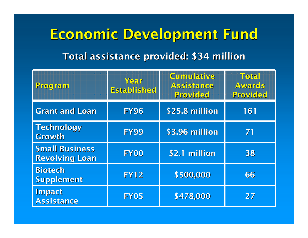# Economic Development FundTotal assistance provided: \$34 million

| <b>Program</b>                                 | Year<br><b>Established</b> | <b>Cumulative</b><br><b>Assistance</b><br>Provided | Total<br><b>Awards</b><br>Provided |
|------------------------------------------------|----------------------------|----------------------------------------------------|------------------------------------|
| <b>Grant and Loan</b>                          | <b>FY96</b>                | \$25.8 million                                     | 161                                |
| <b>Technology</b><br>Growth                    | <b>FY99</b>                | \$3.96 million                                     | 71                                 |
| <b>Small Business</b><br><b>Revolving Loan</b> | <b>FY00</b>                | \$2.1 million                                      | 38                                 |
| <b>Biotech</b><br>Supplement                   | <b>FY12</b>                | \$500,000                                          | 66                                 |
| Impact<br><b>Assistance</b>                    | <b>FY05</b>                | \$478,000                                          | 27                                 |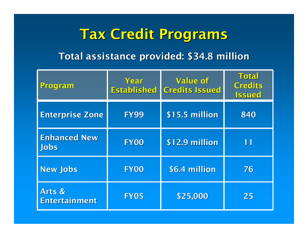## Tax Credit Programs

#### Total assistance provided: \$34.8 million

| Program                            | Year<br><b>Established</b> | Value of<br><b>Credits Issued</b> | <b>Total</b><br><b>Credits</b><br><b>Issued</b> |
|------------------------------------|----------------------------|-----------------------------------|-------------------------------------------------|
| <b>Enterprise Zone</b>             | <b>FY99</b>                | \$15.5 million                    | 840                                             |
| <b>Enhanced New</b><br><b>Jobs</b> | <b>FY00</b>                | \$12.9 million                    | 11                                              |
| <b>New Jobs</b>                    | <b>FY00</b>                | \$6.4 million                     | 76                                              |
| Arts &<br><b>Entertainment</b>     | <b>FY05</b>                | \$25,000                          | 25                                              |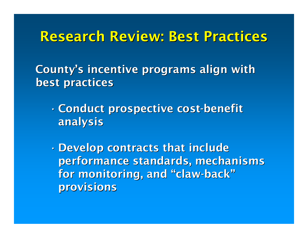### Research Review: Best Practices

County's incentive programs align with best practices

- • Conduct prospective cost-benefit analysis
- •Develop contracts that include performance standards, mechanisms for monitoring, and "claw-back"provisions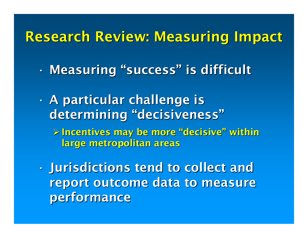## Research Review: Measuring Impact

- •Measuring "success" is difficult
- • A particular challenge is determining "decisiveness"Incentives may be more "decisive" within large metropolitan areas
- • Jurisdictions tend to collect and report outcome data to measure performance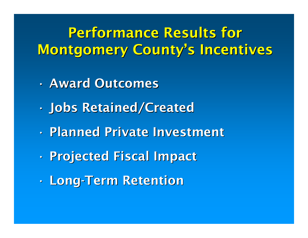# Performance Results for Montgomery County's Incentives

- •Award Outcomes
- •Jobs Retained/Created
- •Planned Private Investment
- •Projected Fiscal Impact
- •Long-Term Retention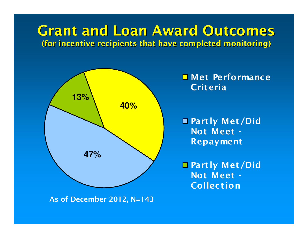### Grant and Loan Award Outcomes(for incentive recipients that have completed monitoring)



As of December 2012, N=143

**D** Met Performance **Criteria** 

■ Partly Met/Did Not Meet -Repayment

■ Partly Met/Did Not Meet -**Collection**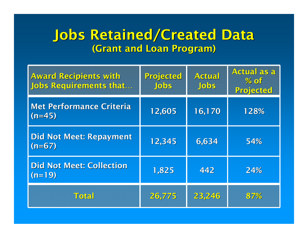### Jobs Retained/Created Data(Grant and Loan Program)

| <b>Award Recipients with</b><br><b>Jobs Requirements that</b> | Projected<br><b>Jobs</b> | Actual<br><b>Jobs</b> | <b>Actual as a</b><br>% of<br>Projected |
|---------------------------------------------------------------|--------------------------|-----------------------|-----------------------------------------|
| <b>Met Performance Criteria</b><br>$(n=45)$                   | 12,605                   | 16,170                | 128%                                    |
| <b>Did Not Meet: Repayment</b><br>$(n=67)$                    | 12,345                   | 6,634                 | 54%                                     |
| <b>Did Not Meet: Collection</b><br>$(n=19)$                   | 1,825                    | 442                   | 24%                                     |
| Total                                                         | 26,775                   | 23,246                | 87%                                     |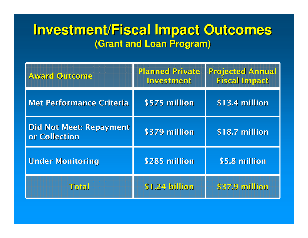### **Investment/Fiscal Impact Outcomes(Grant and Loan Program)**

| <b>Award Outcome</b>                            | <b>Planned Private</b><br>Investment | <b>Projected Annual</b><br><b>Fiscal Impact</b> |
|-------------------------------------------------|--------------------------------------|-------------------------------------------------|
| <b>Met Performance Criteria</b>                 | \$575 million                        | \$13.4 million                                  |
| <b>Did Not Meet: Repayment</b><br>or Collection | \$379 million                        | \$18.7 million                                  |
| <b>Under Monitoring</b>                         | \$285 million                        | \$5.8 million                                   |
| <b>Total</b>                                    | \$1.24 billion                       | \$37.9 million                                  |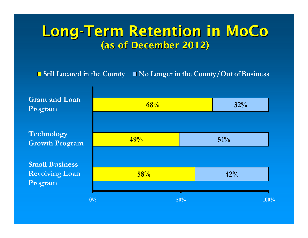### Long-Term Retention in MoCo(as of December 2012)

#### Still Located in the County  $\quad \blacksquare$  No Longer in the County/Out of Business

 $58%$  $49%$  $\frac{68%}{ }$  32% 51% $42%$  $0\%$  50% 100% 100% Grant and Loan ProgramTechnology Growth ProgramSmall Business Revolving Loan Program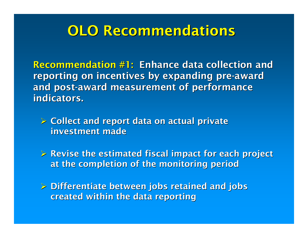### OLO Recommendations

Recommendation #1: Enhance data collection and reporting on incentives by expanding pre-award and post-award measurement of performance indicators.

- > Collect and report data on actual private investment made
- > Revise the estimated fiscal impact for each project at the completion of the monitoring period
- Differentiate between jobs retained and jobs created within the data reporting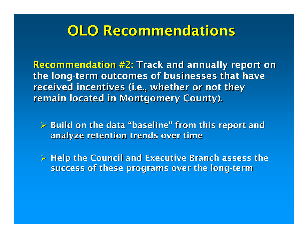### OLO Recommendations

Recommendation #2: Track and annually report on the long-term outcomes of businesses that have received incentives (i.e., whether or not they remain located in Montgomery County).

 Build on the data "baseline" from this report and analyze retention trends over time

> Help the Council and Executive Branch assess the<br>eugence of these programs aver the leng term success of these programs over the long-term